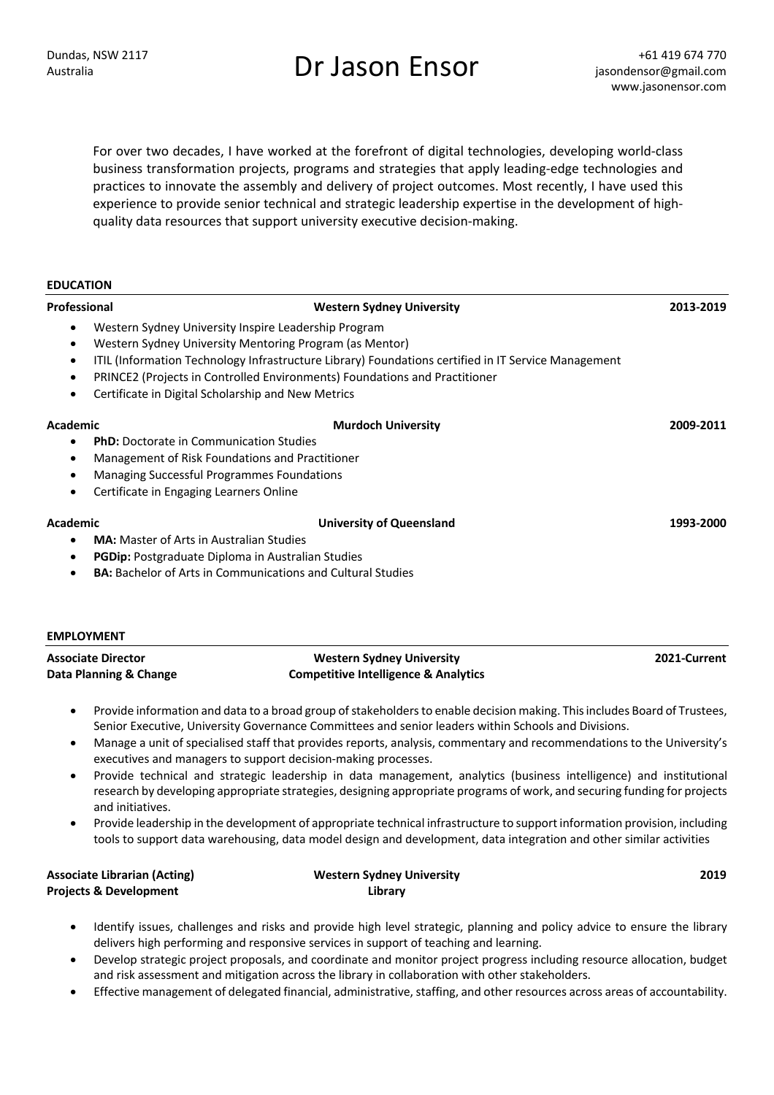# Dundas, NSW 2117<br>Australia **Enson Ensor Films** to the designation of the designation of the designation of the designation of the designation

For over two decades, I have worked at the forefront of digital technologies, developing world-class business transformation projects, programs and strategies that apply leading-edge technologies and practices to innovate the assembly and delivery of project outcomes. Most recently, I have used this experience to provide senior technical and strategic leadership expertise in the development of highquality data resources that support university executive decision-making.

| <b>EDUCATION</b> |                                                                                                     |           |
|------------------|-----------------------------------------------------------------------------------------------------|-----------|
| Professional     | <b>Western Sydney University</b>                                                                    | 2013-2019 |
|                  | Western Sydney University Inspire Leadership Program                                                |           |
| $\bullet$        | Western Sydney University Mentoring Program (as Mentor)                                             |           |
| $\bullet$        | ITIL (Information Technology Infrastructure Library) Foundations certified in IT Service Management |           |
| $\bullet$        | PRINCE2 (Projects in Controlled Environments) Foundations and Practitioner                          |           |
|                  | Certificate in Digital Scholarship and New Metrics                                                  |           |
| Academic         | <b>Murdoch University</b>                                                                           | 2009-2011 |
| $\bullet$        | <b>PhD:</b> Doctorate in Communication Studies                                                      |           |
| $\bullet$        | Management of Risk Foundations and Practitioner                                                     |           |
| $\bullet$        | Managing Successful Programmes Foundations                                                          |           |
| $\bullet$        | Certificate in Engaging Learners Online                                                             |           |
| Academic         | <b>University of Queensland</b>                                                                     | 1993-2000 |
| $\bullet$        | <b>MA:</b> Master of Arts in Australian Studies                                                     |           |
| $\bullet$        | PGDip: Postgraduate Diploma in Australian Studies                                                   |           |
| $\bullet$        | <b>BA:</b> Bachelor of Arts in Communications and Cultural Studies                                  |           |

| <b>EMPLOYMENT</b>         |                                                 |              |  |  |
|---------------------------|-------------------------------------------------|--------------|--|--|
| <b>Associate Director</b> | Western Sydney University                       | 2021-Current |  |  |
| Data Planning & Change    | <b>Competitive Intelligence &amp; Analytics</b> |              |  |  |

- Provide information and data to a broad group of stakeholders to enable decision making. This includes Board of Trustees, Senior Executive, University Governance Committees and senior leaders within Schools and Divisions.
- Manage a unit of specialised staff that provides reports, analysis, commentary and recommendations to the University's executives and managers to support decision-making processes.
- Provide technical and strategic leadership in data management, analytics (business intelligence) and institutional research by developing appropriate strategies, designing appropriate programs of work, and securing funding for projects and initiatives.
- Provide leadership in the development of appropriate technical infrastructure to support information provision, including tools to support data warehousing, data model design and development, data integration and other similar activities

| <b>Associate Librarian (Acting)</b> | <b>Western Sydney University</b> | 2019 |
|-------------------------------------|----------------------------------|------|
| <b>Projects &amp; Development</b>   | Library                          |      |

- Identify issues, challenges and risks and provide high level strategic, planning and policy advice to ensure the library delivers high performing and responsive services in support of teaching and learning.
- Develop strategic project proposals, and coordinate and monitor project progress including resource allocation, budget and risk assessment and mitigation across the library in collaboration with other stakeholders.
- Effective management of delegated financial, administrative, staffing, and other resources across areas of accountability.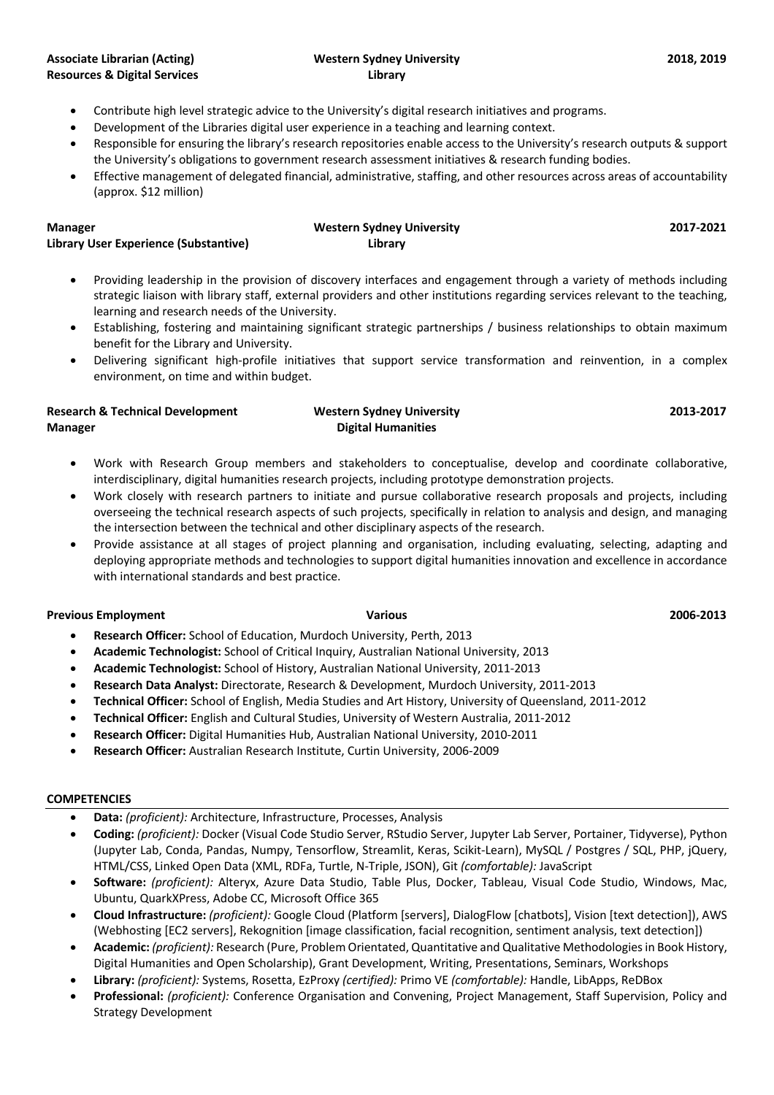### **Western Sydney University Library**

- Contribute high level strategic advice to the University's digital research initiatives and programs.
- Development of the Libraries digital user experience in a teaching and learning context.
- Responsible for ensuring the library's research repositories enable access to the University's research outputs & support the University's obligations to government research assessment initiatives & research funding bodies.
- Effective management of delegated financial, administrative, staffing, and other resources across areas of accountability (approx. \$12 million)

#### **Manager Library User Experience (Substantive) Western Sydney University Library 2017-2021**

- Providing leadership in the provision of discovery interfaces and engagement through a variety of methods including strategic liaison with library staff, external providers and other institutions regarding services relevant to the teaching, learning and research needs of the University.
- Establishing, fostering and maintaining significant strategic partnerships / business relationships to obtain maximum benefit for the Library and University.
- Delivering significant high-profile initiatives that support service transformation and reinvention, in a complex environment, on time and within budget.

#### **Research & Technical Development Manager Western Sydney University Digital Humanities 2013-2017**

- Work with Research Group members and stakeholders to conceptualise, develop and coordinate collaborative, interdisciplinary, digital humanities research projects, including prototype demonstration projects.
- Work closely with research partners to initiate and pursue collaborative research proposals and projects, including overseeing the technical research aspects of such projects, specifically in relation to analysis and design, and managing the intersection between the technical and other disciplinary aspects of the research.
- Provide assistance at all stages of project planning and organisation, including evaluating, selecting, adapting and deploying appropriate methods and technologies to support digital humanities innovation and excellence in accordance with international standards and best practice.

## **Previous Employment Various 2006-2013**

- **Research Officer:** School of Education, Murdoch University, Perth, 2013
- **Academic Technologist:** School of Critical Inquiry, Australian National University, 2013
- **Academic Technologist:** School of History, Australian National University, 2011-2013
- **Research Data Analyst:** Directorate, Research & Development, Murdoch University, 2011-2013
- **Technical Officer:** School of English, Media Studies and Art History, University of Queensland, 2011-2012
- **Technical Officer:** English and Cultural Studies, University of Western Australia, 2011-2012
- **Research Officer:** Digital Humanities Hub, Australian National University, 2010-2011
- **Research Officer:** Australian Research Institute, Curtin University, 2006-2009

#### **COMPETENCIES**

- **Data:** *(proficient):* Architecture, Infrastructure, Processes, Analysis
- **Coding:** *(proficient):* Docker (Visual Code Studio Server, RStudio Server, Jupyter Lab Server, Portainer, Tidyverse), Python (Jupyter Lab, Conda, Pandas, Numpy, Tensorflow, Streamlit, Keras, Scikit-Learn), MySQL / Postgres / SQL, PHP, jQuery, HTML/CSS, Linked Open Data (XML, RDFa, Turtle, N-Triple, JSON), Git *(comfortable):* JavaScript
- **Software:** *(proficient):* Alteryx, Azure Data Studio, Table Plus, Docker, Tableau, Visual Code Studio, Windows, Mac, Ubuntu, QuarkXPress, Adobe CC, Microsoft Office 365
- **Cloud Infrastructure:** *(proficient):* Google Cloud (Platform [servers], DialogFlow [chatbots], Vision [text detection]), AWS (Webhosting [EC2 servers], Rekognition [image classification, facial recognition, sentiment analysis, text detection])
- **Academic:** *(proficient):* Research (Pure, Problem Orientated, Quantitative and Qualitative Methodologies in Book History, Digital Humanities and Open Scholarship), Grant Development, Writing, Presentations, Seminars, Workshops
- **Library:** *(proficient):* Systems, Rosetta, EzProxy *(certified):* Primo VE *(comfortable):* Handle, LibApps, ReDBox
- **Professional:** *(proficient):* Conference Organisation and Convening, Project Management, Staff Supervision, Policy and Strategy Development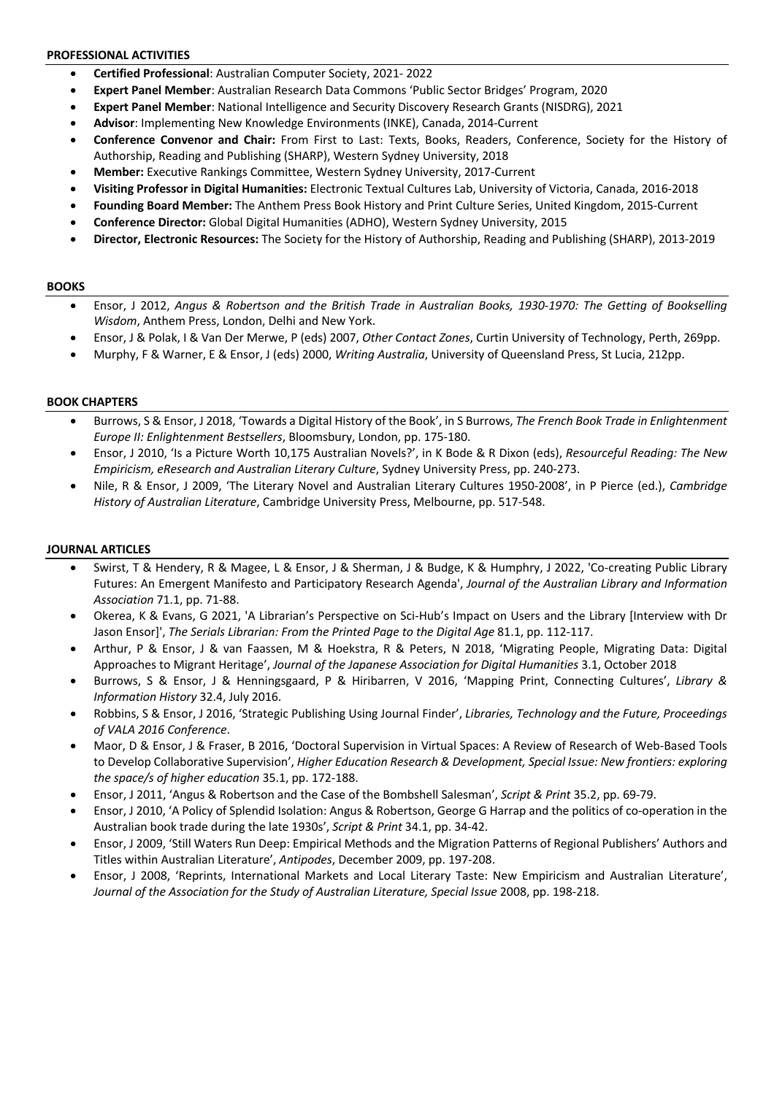#### **PROFESSIONAL ACTIVITIES**

- **Certified Professional**: Australian Computer Society, 2021- 2022
- **Expert Panel Member**: Australian Research Data Commons 'Public Sector Bridges' Program, 2020
- **Expert Panel Member**: National Intelligence and Security Discovery Research Grants (NISDRG), 2021
- **Advisor**: Implementing New Knowledge Environments (INKE), Canada, 2014-Current
- **Conference Convenor and Chair:** From First to Last: Texts, Books, Readers, Conference, Society for the History of Authorship, Reading and Publishing (SHARP), Western Sydney University, 2018
- **Member:** Executive Rankings Committee, Western Sydney University, 2017-Current
- **Visiting Professor in Digital Humanities:** Electronic Textual Cultures Lab, University of Victoria, Canada, 2016-2018
- **Founding Board Member:** The Anthem Press Book History and Print Culture Series, United Kingdom, 2015-Current
- **Conference Director:** Global Digital Humanities (ADHO), Western Sydney University, 2015
- **Director, Electronic Resources:** The Society for the History of Authorship, Reading and Publishing (SHARP), 2013-2019

#### **BOOKS**

- Ensor, J 2012, *Angus & Robertson and the British Trade in Australian Books, 1930-1970: The Getting of Bookselling Wisdom*, Anthem Press, London, Delhi and New York.
- Ensor, J & Polak, I & Van Der Merwe, P (eds) 2007, *Other Contact Zones*, Curtin University of Technology, Perth, 269pp.
- Murphy, F & Warner, E & Ensor, J (eds) 2000, *Writing Australia*, University of Queensland Press, St Lucia, 212pp.

#### **BOOK CHAPTERS**

- Burrows, S & Ensor, J 2018, 'Towards a Digital History of the Book', in S Burrows, *The French Book Trade in Enlightenment Europe II: Enlightenment Bestsellers*, Bloomsbury, London, pp. 175-180.
- Ensor, J 2010, 'Is a Picture Worth 10,175 Australian Novels?', in K Bode & R Dixon (eds), *Resourceful Reading: The New Empiricism, eResearch and Australian Literary Culture*, Sydney University Press, pp. 240-273.
- Nile, R & Ensor, J 2009, 'The Literary Novel and Australian Literary Cultures 1950-2008', in P Pierce (ed.), *Cambridge History of Australian Literature*, Cambridge University Press, Melbourne, pp. 517-548.

### **JOURNAL ARTICLES**

- Swirst, T & Hendery, R & Magee, L & Ensor, J & Sherman, J & Budge, K & Humphry, J 2022, 'Co-creating Public Library Futures: An Emergent Manifesto and Participatory Research Agenda', *Journal of the Australian Library and Information Association* 71.1, pp. 71-88.
- Okerea, K & Evans, G 2021, 'A Librarian's Perspective on Sci-Hub's Impact on Users and the Library [Interview with Dr Jason Ensor]', *The Serials Librarian: From the Printed Page to the Digital Age* 81.1, pp. 112-117.
- Arthur, P & Ensor, J & van Faassen, M & Hoekstra, R & Peters, N 2018, 'Migrating People, Migrating Data: Digital Approaches to Migrant Heritage', *Journal of the Japanese Association for Digital Humanities* 3.1, October 2018
- Burrows, S & Ensor, J & Henningsgaard, P & Hiribarren, V 2016, 'Mapping Print, Connecting Cultures', *Library & Information History* 32.4, July 2016.
- Robbins, S & Ensor, J 2016, 'Strategic Publishing Using Journal Finder', *Libraries, Technology and the Future, Proceedings of VALA 2016 Conference*.
- Maor, D & Ensor, J & Fraser, B 2016, 'Doctoral Supervision in Virtual Spaces: A Review of Research of Web-Based Tools to Develop Collaborative Supervision', *Higher Education Research & Development, Special Issue: New frontiers: exploring the space/s of higher education* 35.1, pp. 172-188.
- Ensor, J 2011, 'Angus & Robertson and the Case of the Bombshell Salesman', *Script & Print* 35.2, pp. 69-79.
- Ensor, J 2010, 'A Policy of Splendid Isolation: Angus & Robertson, George G Harrap and the politics of co-operation in the Australian book trade during the late 1930s', *Script & Print* 34.1, pp. 34-42.
- Ensor, J 2009, 'Still Waters Run Deep: Empirical Methods and the Migration Patterns of Regional Publishers' Authors and Titles within Australian Literature', *Antipodes*, December 2009, pp. 197-208.
- Ensor, J 2008, 'Reprints, International Markets and Local Literary Taste: New Empiricism and Australian Literature', *Journal of the Association for the Study of Australian Literature, Special Issue* 2008, pp. 198-218.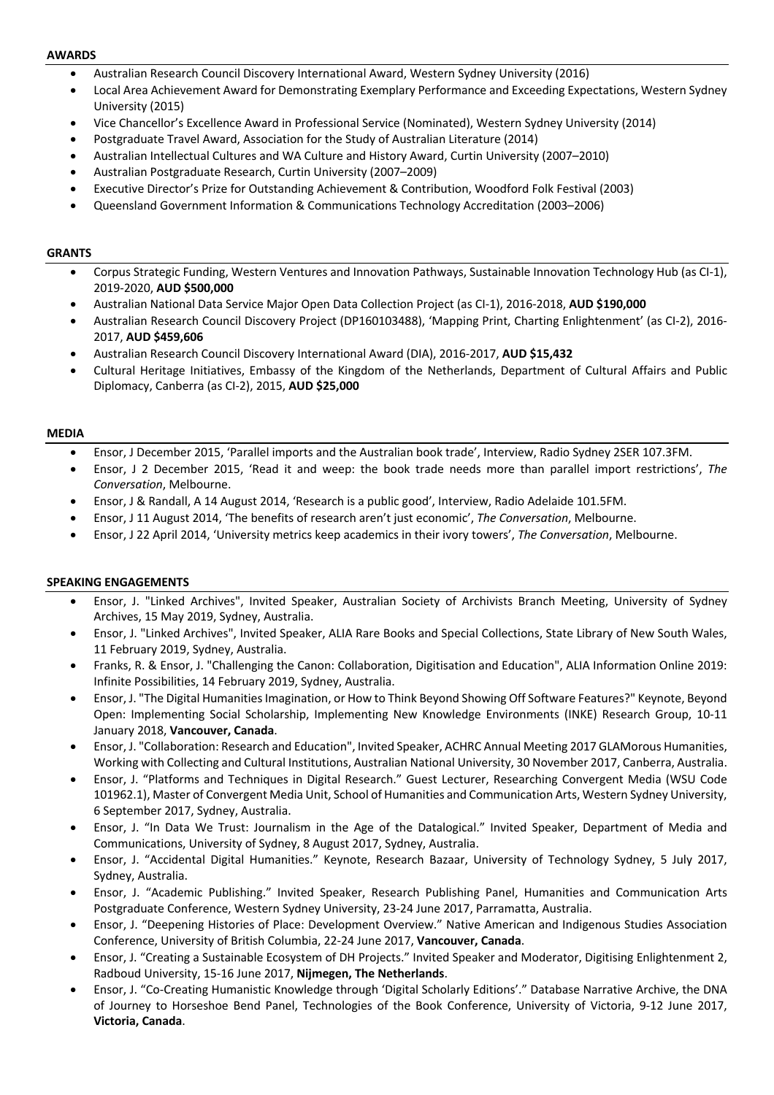#### **AWARDS**

- Australian Research Council Discovery International Award, Western Sydney University (2016)
- Local Area Achievement Award for Demonstrating Exemplary Performance and Exceeding Expectations, Western Sydney University (2015)
- Vice Chancellor's Excellence Award in Professional Service (Nominated), Western Sydney University (2014)
- Postgraduate Travel Award, Association for the Study of Australian Literature (2014)
- Australian Intellectual Cultures and WA Culture and History Award, Curtin University (2007–2010)
- Australian Postgraduate Research, Curtin University (2007–2009)
- Executive Director's Prize for Outstanding Achievement & Contribution, Woodford Folk Festival (2003)
- Queensland Government Information & Communications Technology Accreditation (2003–2006)

#### **GRANTS**

- Corpus Strategic Funding, Western Ventures and Innovation Pathways, Sustainable Innovation Technology Hub (as CI-1), 2019-2020, **AUD \$500,000**
- Australian National Data Service Major Open Data Collection Project (as CI-1), 2016-2018, **AUD \$190,000**
- Australian Research Council Discovery Project (DP160103488), 'Mapping Print, Charting Enlightenment' (as CI-2), 2016- 2017, **AUD \$459,606**
- Australian Research Council Discovery International Award (DIA), 2016-2017, **AUD \$15,432**
- Cultural Heritage Initiatives, Embassy of the Kingdom of the Netherlands, Department of Cultural Affairs and Public Diplomacy, Canberra (as CI-2), 2015, **AUD \$25,000**

#### **MEDIA**

- Ensor, J December 2015, 'Parallel imports and the Australian book trade', Interview, Radio Sydney 2SER 107.3FM.
- Ensor, J 2 December 2015, 'Read it and weep: the book trade needs more than parallel import restrictions', *The Conversation*, Melbourne.
- Ensor, J & Randall, A 14 August 2014, 'Research is a public good', Interview, Radio Adelaide 101.5FM.
- Ensor, J 11 August 2014, 'The benefits of research aren't just economic', *The Conversation*, Melbourne.
- Ensor, J 22 April 2014, 'University metrics keep academics in their ivory towers', *The Conversation*, Melbourne.

#### **SPEAKING ENGAGEMENTS**

- Ensor, J. "Linked Archives", Invited Speaker, Australian Society of Archivists Branch Meeting, University of Sydney Archives, 15 May 2019, Sydney, Australia.
- Ensor, J. "Linked Archives", Invited Speaker, ALIA Rare Books and Special Collections, State Library of New South Wales, 11 February 2019, Sydney, Australia.
- Franks, R. & Ensor, J. "Challenging the Canon: Collaboration, Digitisation and Education", ALIA Information Online 2019: Infinite Possibilities, 14 February 2019, Sydney, Australia.
- Ensor, J. "The Digital Humanities Imagination, or How to Think Beyond Showing Off Software Features?" Keynote, Beyond Open: Implementing Social Scholarship, Implementing New Knowledge Environments (INKE) Research Group, 10-11 January 2018, **Vancouver, Canada**.
- Ensor, J. "Collaboration: Research and Education", Invited Speaker, ACHRC Annual Meeting 2017 GLAMorous Humanities, Working with Collecting and Cultural Institutions, Australian National University, 30 November 2017, Canberra, Australia.
- Ensor, J. "Platforms and Techniques in Digital Research." Guest Lecturer, Researching Convergent Media (WSU Code 101962.1), Master of Convergent Media Unit, School of Humanities and Communication Arts, Western Sydney University, 6 September 2017, Sydney, Australia.
- Ensor, J. "In Data We Trust: Journalism in the Age of the Datalogical." Invited Speaker, Department of Media and Communications, University of Sydney, 8 August 2017, Sydney, Australia.
- Ensor, J. "Accidental Digital Humanities." Keynote, Research Bazaar, University of Technology Sydney, 5 July 2017, Sydney, Australia.
- Ensor, J. "Academic Publishing." Invited Speaker, Research Publishing Panel, Humanities and Communication Arts Postgraduate Conference, Western Sydney University, 23-24 June 2017, Parramatta, Australia.
- Ensor, J. "Deepening Histories of Place: Development Overview." Native American and Indigenous Studies Association Conference, University of British Columbia, 22-24 June 2017, **Vancouver, Canada**.
- Ensor, J. "Creating a Sustainable Ecosystem of DH Projects." Invited Speaker and Moderator, Digitising Enlightenment 2, Radboud University, 15-16 June 2017, **Nijmegen, The Netherlands**.
- Ensor, J. "Co-Creating Humanistic Knowledge through 'Digital Scholarly Editions'." Database Narrative Archive, the DNA of Journey to Horseshoe Bend Panel, Technologies of the Book Conference, University of Victoria, 9-12 June 2017, **Victoria, Canada**.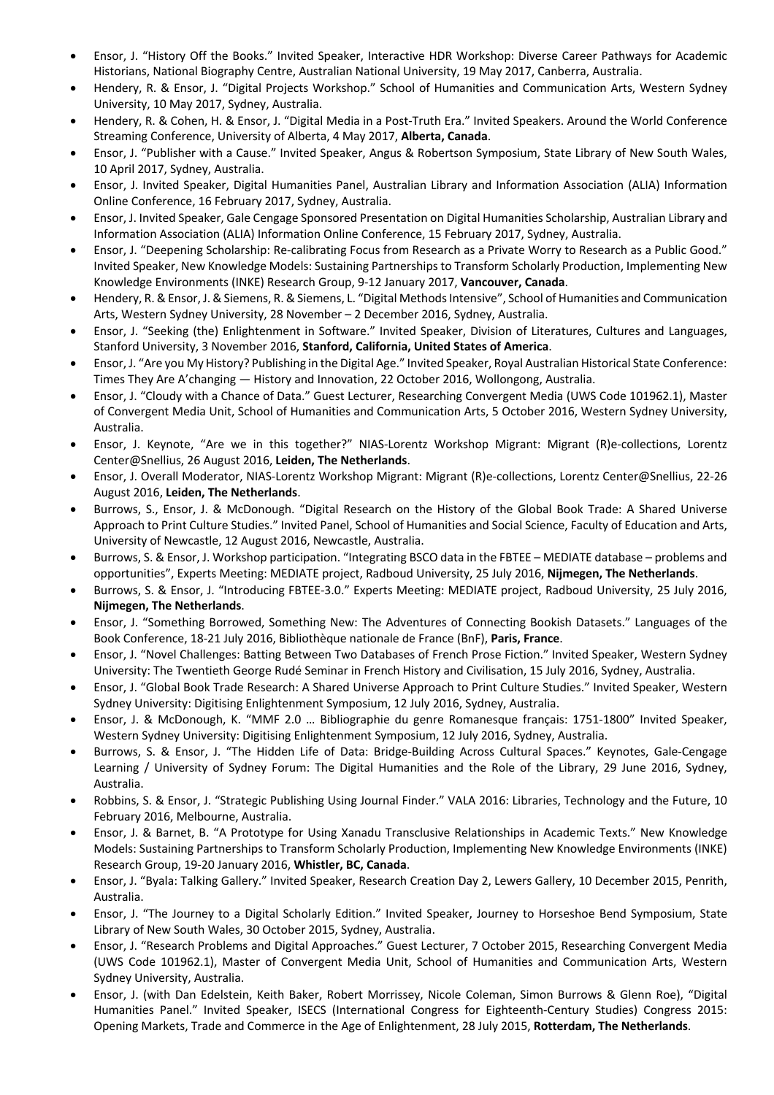- Ensor, J. "History Off the Books." Invited Speaker, Interactive HDR Workshop: Diverse Career Pathways for Academic Historians, National Biography Centre, Australian National University, 19 May 2017, Canberra, Australia.
- Hendery, R. & Ensor, J. "Digital Projects Workshop." School of Humanities and Communication Arts, Western Sydney University, 10 May 2017, Sydney, Australia.
- Hendery, R. & Cohen, H. & Ensor, J. "Digital Media in a Post-Truth Era." Invited Speakers. Around the World Conference Streaming Conference, University of Alberta, 4 May 2017, **Alberta, Canada**.
- Ensor, J. "Publisher with a Cause." Invited Speaker, Angus & Robertson Symposium, State Library of New South Wales, 10 April 2017, Sydney, Australia.
- Ensor, J. Invited Speaker, Digital Humanities Panel, Australian Library and Information Association (ALIA) Information Online Conference, 16 February 2017, Sydney, Australia.
- Ensor, J. Invited Speaker, Gale Cengage Sponsored Presentation on Digital Humanities Scholarship, Australian Library and Information Association (ALIA) Information Online Conference, 15 February 2017, Sydney, Australia.
- Ensor, J. "Deepening Scholarship: Re-calibrating Focus from Research as a Private Worry to Research as a Public Good." Invited Speaker, New Knowledge Models: Sustaining Partnerships to Transform Scholarly Production, Implementing New Knowledge Environments (INKE) Research Group, 9-12 January 2017, **Vancouver, Canada**.
- Hendery, R. & Ensor, J. & Siemens, R. & Siemens, L. "Digital Methods Intensive", School of Humanities and Communication Arts, Western Sydney University, 28 November – 2 December 2016, Sydney, Australia.
- Ensor, J. "Seeking (the) Enlightenment in Software." Invited Speaker, Division of Literatures, Cultures and Languages, Stanford University, 3 November 2016, **Stanford, California, United States of America**.
- Ensor, J. "Are you My History? Publishing in the Digital Age." Invited Speaker, Royal Australian Historical State Conference: Times They Are A'changing — History and Innovation, 22 October 2016, Wollongong, Australia.
- Ensor, J. "Cloudy with a Chance of Data." Guest Lecturer, Researching Convergent Media (UWS Code 101962.1), Master of Convergent Media Unit, School of Humanities and Communication Arts, 5 October 2016, Western Sydney University, Australia.
- Ensor, J. Keynote, "Are we in this together?" NIAS-Lorentz Workshop Migrant: Migrant (R)e-collections, Lorentz Center@Snellius, 26 August 2016, **Leiden, The Netherlands**.
- Ensor, J. Overall Moderator, NIAS-Lorentz Workshop Migrant: Migrant (R)e-collections, Lorentz Center@Snellius, 22-26 August 2016, **Leiden, The Netherlands**.
- Burrows, S., Ensor, J. & McDonough. "Digital Research on the History of the Global Book Trade: A Shared Universe Approach to Print Culture Studies." Invited Panel, School of Humanities and Social Science, Faculty of Education and Arts, University of Newcastle, 12 August 2016, Newcastle, Australia.
- Burrows, S. & Ensor, J. Workshop participation. "Integrating BSCO data in the FBTEE MEDIATE database problems and opportunities", Experts Meeting: MEDIATE project, Radboud University, 25 July 2016, **Nijmegen, The Netherlands**.
- Burrows, S. & Ensor, J. "Introducing FBTEE-3.0." Experts Meeting: MEDIATE project, Radboud University, 25 July 2016, **Nijmegen, The Netherlands**.
- Ensor, J. "Something Borrowed, Something New: The Adventures of Connecting Bookish Datasets." Languages of the Book Conference, 18-21 July 2016, Bibliothèque nationale de France (BnF), **Paris, France**.
- Ensor, J. "Novel Challenges: Batting Between Two Databases of French Prose Fiction." Invited Speaker, Western Sydney University: The Twentieth George Rudé Seminar in French History and Civilisation, 15 July 2016, Sydney, Australia.
- Ensor, J. "Global Book Trade Research: A Shared Universe Approach to Print Culture Studies." Invited Speaker, Western Sydney University: Digitising Enlightenment Symposium, 12 July 2016, Sydney, Australia.
- Ensor, J. & McDonough, K. "MMF 2.0 … Bibliographie du genre Romanesque français: 1751-1800" Invited Speaker, Western Sydney University: Digitising Enlightenment Symposium, 12 July 2016, Sydney, Australia.
- Burrows, S. & Ensor, J. "The Hidden Life of Data: Bridge-Building Across Cultural Spaces." Keynotes, Gale-Cengage Learning / University of Sydney Forum: The Digital Humanities and the Role of the Library, 29 June 2016, Sydney, Australia.
- Robbins, S. & Ensor, J. "Strategic Publishing Using Journal Finder." VALA 2016: Libraries, Technology and the Future, 10 February 2016, Melbourne, Australia.
- Ensor, J. & Barnet, B. "A Prototype for Using Xanadu Transclusive Relationships in Academic Texts." New Knowledge Models: Sustaining Partnerships to Transform Scholarly Production, Implementing New Knowledge Environments (INKE) Research Group, 19-20 January 2016, **Whistler, BC, Canada**.
- Ensor, J. "Byala: Talking Gallery." Invited Speaker, Research Creation Day 2, Lewers Gallery, 10 December 2015, Penrith, Australia.
- Ensor, J. "The Journey to a Digital Scholarly Edition." Invited Speaker, Journey to Horseshoe Bend Symposium, State Library of New South Wales, 30 October 2015, Sydney, Australia.
- Ensor, J. "Research Problems and Digital Approaches." Guest Lecturer, 7 October 2015, Researching Convergent Media (UWS Code 101962.1), Master of Convergent Media Unit, School of Humanities and Communication Arts, Western Sydney University, Australia.
- Ensor, J. (with Dan Edelstein, Keith Baker, Robert Morrissey, Nicole Coleman, Simon Burrows & Glenn Roe), "Digital Humanities Panel." Invited Speaker, ISECS (International Congress for Eighteenth-Century Studies) Congress 2015: Opening Markets, Trade and Commerce in the Age of Enlightenment, 28 July 2015, **Rotterdam, The Netherlands**.